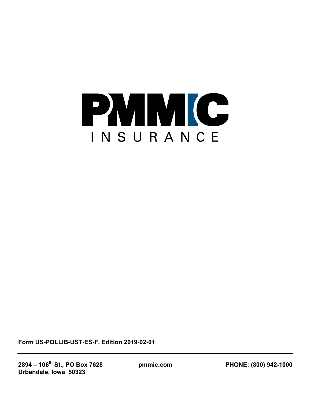

**Form US-POLLIB-UST-ES-F, Edition 2019-02-01**

**2894 – 106th St., PO Box 7628 pmmic.com PHONE: (800) 942-1000 Urbandale, Iowa 50323**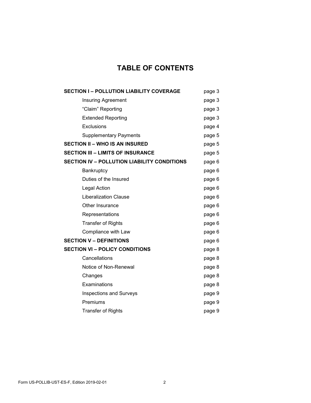# **TABLE OF CONTENTS**

| <b>SECTION I-POLLUTION LIABILITY COVERAGE</b>      | page 3 |
|----------------------------------------------------|--------|
| <b>Insuring Agreement</b>                          | page 3 |
| "Claim" Reporting                                  | page 3 |
| <b>Extended Reporting</b>                          | page 3 |
| Exclusions                                         | page 4 |
| <b>Supplementary Payments</b>                      | page 5 |
| <b>SECTION II - WHO IS AN INSURED</b>              | page 5 |
| <b>SECTION III - LIMITS OF INSURANCE</b>           | page 5 |
| <b>SECTION IV - POLLUTION LIABILITY CONDITIONS</b> | page 6 |
| Bankruptcy                                         | page 6 |
| Duties of the Insured                              | page 6 |
| Legal Action                                       | page 6 |
| <b>Liberalization Clause</b>                       | page 6 |
| Other Insurance                                    | page 6 |
| Representations                                    | page 6 |
| <b>Transfer of Rights</b>                          | page 6 |
| Compliance with Law                                | page 6 |
| <b>SECTION V - DEFINITIONS</b>                     | page 6 |
| <b>SECTION VI - POLICY CONDITIONS</b>              | page 8 |
| Cancellations                                      | page 8 |
| Notice of Non-Renewal                              | page 8 |
| Changes                                            | page 8 |
| Examinations                                       | page 8 |
| <b>Inspections and Surveys</b>                     | page 9 |
| Premiums                                           | page 9 |
| <b>Transfer of Rights</b>                          | page 9 |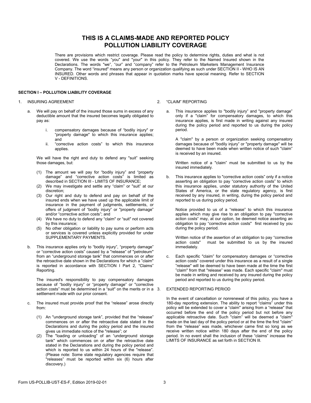## **THIS IS A CLAIMS-MADE AND REPORTED POLICY POLLUTION LIABILITY COVERAGE**

There are provisions which restrict coverage. Please read the policy to determine rights, duties and what is not covered. We use the words "you" and "your" in this policy. They refer to the Named Insured shown in the Declarations. The words "we", "our" and "company" refer to the Petroleum Marketers Management Insurance Company. The word "insured" means any person or organization qualifying as such under SECTION II - WHO IS AN INSURED. Other words and phrases that appear in quotation marks have special meaning. Refer to SECTION V - DEFINITIONS.

### **SECTION I – POLLUTION LIABILITY COVERAGE**

#### 1. INSURING AGREEMENT

- We will pay on behalf of the insured those sums in excess of any deductible amount that the insured becomes legally obligated to pay as:
	- i. compensatory damages because of "bodily injury" or "property damage" to which this insurance applies; and
	- ii. "corrective action costs" to which this insurance applies.

We will have the right and duty to defend any "suit" seeking those damages, but:

- (1) The amount we will pay for "bodily injury" and "property damage" and "corrective action costs" is limited as described in SECTION III - LIMITS OF INSURANCE;
- (2) We may investigate and settle any "claim" or "suit" at our discretion;
- (3) Our right and duty to defend and pay on behalf of the insured ends when we have used up the applicable limit of insurance in the payment of judgments, settlements, or offers of judgment of "bodily injury" or "property damage" and/or "corrective action costs"; and
- (4) We have no duty to defend any "claim" or "suit" not covered by this insurance;
- (5) No other obligation or liability to pay sums or perform acts or services is covered unless explicitly provided for under SUPPLEMENTARY PAYMENTS.
- b. This insurance applies only to "bodily injury", "property damage" or "corrective action costs" caused by a "release" of "petroleum" from an "underground storage tank" that commences on or after the retroactive date shown in the Declarations for which a "claim" is reported in accordance with SECTION I Part 2, "Claims" Reporting.

The insured's responsibility to pay compensatory damages because of "bodily injury" or "property damage" or "corrective action costs" must be determined in a "suit" on the merits or in a settlement made with our prior consent.

- c. The insured must provide proof that the "release" arose directly from:
	- (1) An "underground storage tank", provided that the "release" commences on or after the retroactive date stated in the Declarations and during the policy period and the insured gives us immediate notice of the "release"; or
	- (2) The "loading or unloading" of an "underground storage tank" which commences on or after the retroactive date stated in the Declarations and during the policy period and which is reported to us within 24 hours of the "release". (Please note: Some state regulatory agencies require that "releases" must be reported within six (6) hours after discovery.)

#### 2. "CLAIM" REPORTING

a. This insurance applies to "bodily injury" and "property damage" only if a "claim" for compensatory damages, to which this insurance applies, is first made in writing against any insured during the policy period and reported to us during the policy period.

A "claim" by a person or organization seeking compensatory damages because of "bodily injury" or "property damage" will be deemed to have been made when written notice of such "claim" is received by an insured.

Written notice of a "claim" must be submitted to us by the insured immediately.

b. This insurance applies to "corrective action costs" only if a notice asserting an obligation to pay "corrective action costs" to which this insurance applies, under statutory authority of the United States of America, or the state regulatory agency, is first received by any insured, in writing, during the policy period and reported to us during policy period.

Notice provided to us of a "release" to which this insurance applies which may give rise to an obligation to pay "corrective action costs" may, at our option, be deemed notice asserting an obligation to pay "corrective action costs" first received by you during the policy period.

Written notice of the assertion of an obligation to pay "corrective action costs" must be submitted to us by the insured immediately.

c. Each specific "claim" for compensatory damages or "corrective action costs" covered under this insurance as a result of a single "release" will be deemed to have been made at the time the first "claim" from that "release" was made. Each specific "claim" must be made in writing and received by any insured during the policy period and reported to us during the policy period.

#### EXTENDED REPORTING PERIOD

In the event of cancellation or nonrenewal of this policy, you have a 180-day reporting extension. The ability to report "claims" under this policy will be extended to cover a "claim" arising from a "release" that occurred before the end of the policy period but not before any applicable retroactive date. Such "claim" will be deemed a "claim" made on the last day of the policy period or at the time the first "claim" from the "release" was made, whichever came first so long as we receive written notice within 180 days after the end of the policy period. In no event shall the inclusion of these "claims" increase the LIMITS OF INSURANCE as set forth in SECTION Ill.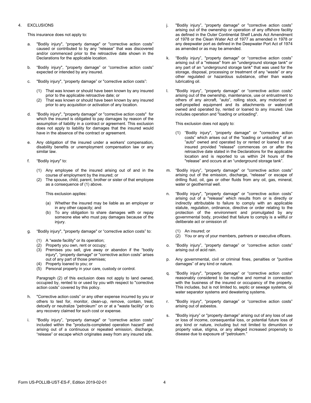#### 4. EXCLUSIONS

This insurance does not apply to:

- "Bodily injury", "property damage" or "corrective action costs" caused or contributed to by any "release" that was discovered and/or commenced prior to the retroactive date shown in the Declarations for the applicable location.
- b. "Bodily injury", "property damage" or "corrective action costs" expected or intended by any insured.
- c. "Bodily injury", "property damage" or "corrective action costs":
	- (1) That was known or should have been known by any insured prior to the applicable retroactive date; or
	- (2) That was known or should have been known by any insured prior to any acquisition or activation of any location.
- d. "Bodily injury", "property damage" or "corrective action costs" for which the insured is obligated to pay damages by reason of the assumption of liability in a contract or agreement. This exclusion does not apply to liability for damages that the insured would have in the absence of the contract or agreement.
- e. Any obligation of the insured under a workers' compensation, disability benefits or unemployment compensation law or any similar law.
- f. "Bodily injury" to:
	- (1) Any employee of the insured arising out of and in the course of employment by the insured; or
	- (2) The spouse, child, parent, brother or sister of that employee as a consequence of (1) above.

This exclusion applies:

- (a) Whether the insured may be liable as an employer or in any other capacity; and
- (b) To any obligation to share damages with or repay someone else who must pay damages because of the injury.
- g. "Bodily injury", "property damage" or "corrective action costs" to:
	- (1) A "waste facility" or its operation;
	- (2) Property you own, rent or occupy;
	- (3) Premises you sell, give away or abandon if the "bodily injury", "property damage" or "corrective action costs" arises out of any part of those premises;
	- (4) Property loaned to you; or
	- (5) Personal property in your care, custody or control.

Paragraph (2) of this exclusion does not apply to land owned, occupied by, rented to or used by you with respect to "corrective action costs" covered by this policy.

- h. "Corrective action costs" or any other expense incurred by you or others to test for, monitor, clean-up, remove, contain, treat, detoxify or neutralize "petroleum" on or at a "waste facility" or to any recovery claimed for such cost or expense.
- i. "Bodily injury", "property damage" or "corrective action costs" included within the "products-completed operation hazard" and arising out of a continuous or repeated emission, discharge, "release" or escape which originates away from any insured site.
- j. "Bodily injury", "property damage" or "corrective action costs" arising out of the ownership or operation of any offshore facility as defined in the Outer Continental Shelf Lands Act Amendment of 1978 or the Clean Water Act of 1977 as amended in 1978 or any deepwater port as defined in the Deepwater Port Act of 1974 as amended or as may be amended.
- k. "Bodily injury", "property damage" or "corrective action costs" arising out of a "release" from an "underground storage tank" or any part of an "underground storage tank" that was used for the storage, disposal, processing or treatment of any "waste" or any other regulated or hazardous substance, other than waste lubricating oil.
- l. "Bodily injury", "property damage" or "corrective action costs" arising out of the ownership, maintenance, use or entrustment to others of any aircraft, "auto", rolling stock, any motorized or self-propelled equipment and its attachments or watercraft owned and operated by, rented or loaned to any insured. Use includes operation and "loading or unloading".

This exclusion does not apply to:

- (1) "Bodily injury", "property damage" or "corrective action costs" which arises out of the "loading or unloading" of an "auto" owned and operated by or rented or loaned to any insured provided "release" commences on or after the retroactive date stated in the Declarations for the applicable location and is reported to us within 24 hours of the "release" and occurs at an "underground storage tank".
- m. "Bodily injury", "property damage" or "corrective action costs" arising out of the emission, discharge, "release" or escape of drilling fluid, oil, gas or other fluids from any oil, gas, mineral, water or geothermal well.
- n. "Bodily injury", "property damage" or "corrective action costs" arising out of a "release" which results from or is directly or indirectly attributable to failure to comply with an applicable statute, regulation, ordinance, directive or order relating to the protection of the environment and promulgated by any governmental body, provided that failure to comply is a willful or deliberate act or omission of:
	- (1) An insured; or
	- (2) You or any of your members, partners or executive officers.
- o. "Bodily injury", "property damage" or "corrective action costs" arising out of acid rain.
- p. Any governmental, civil or criminal fines, penalties or "punitive damages" of any kind or nature.
- q. "Bodily injury", "property damage" or "corrective action costs" reasonably considered to be routine and normal in connection with the business of the insured or occupancy of the property. This includes, but is not limited to, septic or sewage systems, oil water separator systems and dewatering systems.
- r. "Bodily injury", "property damage" or "corrective action costs" arising out of asbestos.
- s. "Bodily injury" or "property damage" arising out of any loss of use or loss of income, consequential loss, or potential future loss of any kind or nature, including but not limited to dimunition or property value, stigma, or any alleged increased propensity to disease due to exposure of "petroluem."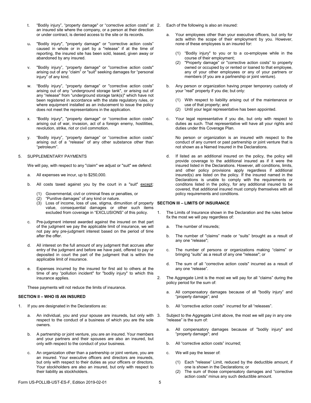- t. "Bodily injury", "property damage" or "corrective action costs" at an insured site where the company, or a person at their direction or under contract, is denied access to the site or its records.
- u**.** "Bodily injury", "property damage" or "corrective action costs" caused in whole or in part by a "release" if at the time of reporting, the insured site has been sold, leased, given away or abandoned by any insured.
- v. "Bodily injury", "property damage" or "corrective action costs" arising out of any "claim" or "suit" seeking damages for "personal injury" of any kind.
- w. "Bodily injury", "property damage" or "corrective action costs" arising out of any "underground storage tank", or arising out of any "release" from "underground storage tank(s)" which have not been registered in accordance with the state regulatory rules, or where equipment installed as an inducement to issue the policy does not meet the representations in the application.
- x. "Bodily injury", "property damage" or "corrective action costs" arising out of war, invasion, act of a foreign enemy, hostilities, revolution, strike, riot or civil commotion.
- y. "Bodily injury", "property damage" or "corrective action costs" arising out of a "release" of any other substance other than "petroleum".

#### 5. SUPPLEMENTARY PAYMENTS

We will pay, with respect to any "claim" we adjust or "suit" we defend:

- a. All expenses we incur, up to \$250,000.
- b. All costs taxed against you by the court in a "suit" except:
	- (1) Governmental, civil or criminal fines or penalties, or
	- (2) "Punitive damages" of any kind or nature.
	- (3) Loss of income, loss of use, stigma, dimunition of property **SECTION III – LIMITS OF INSURANCE** value, consequential damages or other such items excluded from coverage in "EXCLUSIONS" of this policy.
- c. Pre-judgment interest awarded against the insured on that part of the judgment we pay the applicable limit of insurance, we will not pay any pre-judgment interest based on the period of time after the offer.
- All interest on the full amount of any judgment that accrues after entry of the judgment and before we have paid, offered to pay or deposited in court the part of the judgment that is within the applicable limit of insurance.
- e. Expenses incurred by the insured for first aid to others at the time of any "pollution incident" for "bodily injury" to which this insurance applies.

These payments will not reduce the limits of insurance.

#### **SECTION II – WHO IS AN INSURED**

- 1. If you are designated in the Declarations as:
	- An individual, you and your spouse are insureds, but only with 3. respect to the conduct of a business of which you are the sole owners.
	- b. A partnership or joint venture, you are an insured. Your members and your partners and their spouses are also an insured, but only with respect to the conduct of your business.
	- An organization other than a partnership or joint venture, you are an insured. Your executive officers and directors are insureds, but only with respect to their duties as your officers or directors. Your stockholders are also an insured, but only with respect to their liability as stockholders.
- Each of the following is also an insured:
- a. Your employees other than your executive officers, but only for acts within the scope of their employment by you. However, none of these employees is an insured for:
	- (1) "Bodily injury" to you or to a co-employee while in the course of their employment;
	- (2) "Property damage" or "corrective action costs" to property owned or occupied by or rented or loaned to that employee, any of your other employees or any of your partners or members (if you are a partnership or joint venture).
- b. Any person or organization having proper temporary custody of your "real" property if you die; but only:
	- (1) With respect to liability arising out of the maintenance or use of that property; and
	- (2) Until your legal representative has been appointed.
- c. Your legal representative if you die, but only with respect to duties as such. That representative will have all your rights and duties under this Coverage Plan.

No person or organization is an insured with respect to the conduct of any current or past partnership or joint venture that is not shown as a Named Insured in the Declarations.

d. If listed as an additional insured on the policy, the policy will provide coverage to the additional insured as if it were the insured listed in the Declarations. However, alll conditions, limits, and other policy provisions apply regardless if additional insured(s) are listed on the policy. If the insured named in the Declarations is unable to comply with the requirements or conditons listed in the policy, for any additional insured to be covered, that additional insured must comply themselves with all policy requirements and conditions.

- 1. The Limits of Insurance shown in the Declaration and the rules below fix the most we will pay regardless of:
	- a. The number of insureds;
	- b. The number of "claims" made or "suits" brought as a result of any one "release";
	- c. The number of persons or organizations making "claims" or bringing "suits" as a result of any one "release"; or
	- d. The sum of all "corrective action costs" incurred as a result of any one "release".
- 2. The Aggregate Limit is the most we will pay for all "claims" during the policy period for the sum of:
	- a. All compensatory damages because of all "bodily injury" and "property damage"; and
	- b. All "corrective action costs" incurred for all "releases".
	- Subject to the Aggregate Limit above, the most we will pay in any one "release" is the sum of:
		- a. All compensatory damages because of "bodily injury" and "property damage"; and
		- b. All "corrective action costs" incurred;
		- c. We will pay the lesser of:
			- (1) Each "release" Limit, reduced by the deductible amount, if one is shown in the Declarations; or
			- (2) The sum of those compensatory damages and "corrective action costs" minus any such deductible amount.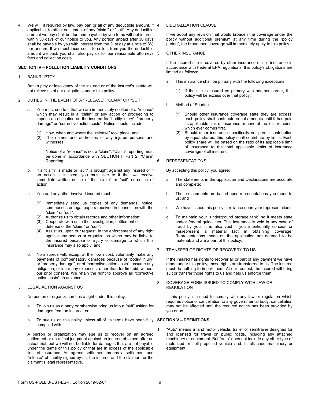4. We will, if required by law, pay part or all of any deductible amount, if 4. applicable, to affect settlement of any "claim" or "suit". Any deductible amount we pay shall be due and payable by you to us without interest within 30 days of our notice to you. Any portion unpaid after 30 days shall be payable by you with interest from the 31st day at a rate of 8% per annum. If we must incur costs to collect from you the deductible amount we paid, you shall also pay us for our reasonable attorneys 5. fees and collection costs.

### **SECTION IV – POLLUTION LIABILITY CONDITIONS**

1. BANKRUPTCY

Bankruptcy or insolvency of the insured or of the insured's estate will not relieve us of our obligations under this policy.

- 2. DUTIES IN THE EVENT OF A "RELEASE", "CLAIM" OR "SUIT"
	- a. You must see to it that we are immediately notified of a "release" which may result in a "claim" or any action or proceeding to impose an obligation on the insured for "bodily injury", "property damage" or "corrective action costs". Notice should include:
		- (1) How, when and where the "release" took place; and
		- (2) The names and addresses of any injured persons and witnesses.

Notice of a "release" is not a "claim". "Claim" reporting must be done in accordance with SECTION I, Part 2, "Claim" Reporting.

- b. If a "claim" is made or "suit" is brought against any insured or if an action is initiated, you must see to it that we receive immediate written notice of the "claim" or "suit" or notice of action.
- c. You and any other involved insured must:
	- (1) Immediately send us copies of any demands, notice, summonses or legal papers received in connection with the "claim" or "suit";
	- (2) Authorize us to obtain records and other information;
	- (3) Cooperate with us in the investigation, settlement or defense of the "claim" or "suit";
	- (4) Assist us, upon our request, in the enforcement of any right against any person or organization which may be liable to the insured because of injury or damage to which this insurance may also apply; and
- d. No insureds will, except at their own cost, voluntarily make any payments of compensatory damages because of "bodily injury" or "property damage", or of "corrective action costs", assume any obligation, or incur any expenses, other than for first aid, without our prior consent. We retain the right to approve all "corrective action costs" in advance.

#### 3. LEGAL ACTION AGAINST US

No person or organization has a right under this policy:

- a. To join us as a party or otherwise bring us into a "suit" asking for damages from an insured; or
- b. To sue us on this policy unless all of its terms have been fully **SECTION V – DEFINITIONS** complied with.

A person or organization may sue us to recover on an agreed settlement or on a final judgment against an insured obtained after an actual trial, but we will not be liable for damages that are not payable under the terms of this policy or that are in excess of the applicable limit of insurance. An agreed settlement means a settlement and "release" of liability signed by us, the insured and the claimant or the claimant's legal representative.

#### LIBERALIZATION CLAUSE

If we adopt any revision that would broaden the coverage under the policy without additional premium at any time during the "policy period", the broadened coverage will immediately apply to this policy.

#### **OTHER INSURANCE**

If the insured site is covered by other insurance or self-insurance in accordance with Federal EPA regulations, this policy's obligations are limited as follows:

- a. This insurance shall be primary with the following exceptions:
	- If the site is insured as primary with another carrier, this policy will be excess over that policy.
- b. Method of Sharing
	- (1) Should other insurance coverage state they are excess, each policy shall contribute equal amounts until it has paid its applicable limit of insurance or none of the loss remains, which ever comes first.
	- Should other insurance specifically not permit contribution by equal shares, this policy shall contribute by limits. Each policy share will be based on the ratio of its applicable limit of insurance to the total applicable limits of insurance coverage of all insurers.

#### 6. REPRESENTATIONS

By accepting this policy, you agree:

- a. The statements in the application and Declarations are accurate and complete;
- b. Those statements are based upon representations you made to us; and
- c. We have issued this policy in reliance upon your representations;
- d. To maintain your "underground storage tank" so it meets state and/or federal guidelines. This insurance is void in any case of fraud by you. It is also void if you intentionally conceal or misrepresent a material fact in obtaining coverage. Representations made on the application are deemed to be material, and are a part of this policy.

#### 7. TRANSFER OF RIGHTS OF RECOVERY TO US

If the insured has rights to recover all or part of any payment we have made under this policy, those rights are transferred to us. The insured must do nothing to impair them. At our request, the insured will bring suit or transfer those rights to us and help us enforce them.

#### 8. COVERAGE FORM ISSUED TO COMPLY WITH LAW OR REGULATION

If this policy is issued to comply with any law or regulation which requires notice of cancellation to any governmental body, cancellation may not be affected until the required notice has been provided by you or us.

1. "Auto" means a land motor vehicle, trailer or semitrailer designed for and licensed for travel on public roads, including any attached machinery or equipment. But "auto" does not include any other type of motorized or self-propelled vehicle and its attached machinery or equipment.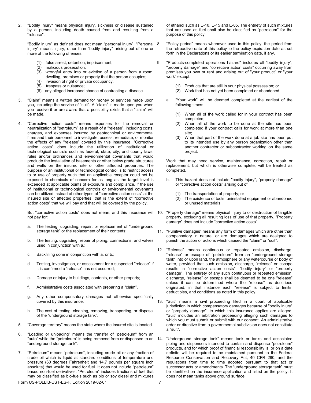2. "Bodily injury" means physical injury, sickness or disease sustained by a person, including death caused from and resulting from a "release".

"Bodily injury" as defined does not mean "personal injury". "Personal injury" means injury, other than "bodily injury" arising out of one or more of the following offenses;

- (1) false arrest, detention, imprisonment;<br>(2) malicious prosecution;
- (2) malicious prosecution;
- wrongful entry into or eviction of a person from a room, dwelling, premises or property that the person occupies;
- invasion of right of private occupancy. (5) trespass or nuisance;
- (6) any alleged increased chance of contracting a disease
- 3. "Claim" means a written demand for money or services made upon you, including the service of "suit". A "claim" is made upon you when you receive it or are aware that a possibility exists that a "claim" will be made.
- 4. "Corrective action costs" means expenses for the removal or neutralization of "petroleum" as a result of a "release", including costs, charges, and expenses incurred by geotechnical or environmental firms and their personnel to investigate, assess, remediate, or monitor the effects of any "release" covered by this insurance. "Corrective action costs" does include the utilization of institutional or technological controls such as federal, state, city, and county laws, rules and/or ordinances and environmental covenants that would preclude the installation of basements or other below grade structures and wells on the insured site or other affected properties. The purpose of an institutional or technological control is to restrict access to or use of property such that an applicable receptor could not be exposed to chemicals of concern for as long as the target level is exceeded at applicable points of exposure and compliance. If the use of institutional or technological controls or environmental covenants can be utilized instead of other types of "corrective action costs" at the insured site or affected properties, that is the extent of "corrective action costs" that we will pay and that will be covered by the policy.

not pay for:

- a. The testing, upgrading, repair, or replacement of "underground storage tank" or the replacement of their contents;
- b. The testing, upgrading, repair of piping, connections, and valves used in conjunction with a.;
- c. Backfilling done in conjunction with a. or b.;
- d. Testing, investigation, or assessment for a suspected "release" if it is confirmed a "release" has not occurred;
- e. Damage or injury to buildings, contents, or other property;
- f. Administrative costs associated with preparing a "claim".
- g. Any other compensatory damages not otherwise specifically covered by this insurance.
- h. The cost of testing, cleaning, removing, transporting, or disposal of the "underground storage tank".
- 5. "Coverage territory" means the state where the insured site is located.
- 6. "Loading or unloading" means the transfer of "petroleum" from an "auto" while the "petroleum" is being removed from or dispensed to an 14. "underground storage tank".
- 7. "Petroleum" means "petroleum", including crude oil or any fraction of crude oil which is liquid at standard conditions of temperature and pressure (60 degrees Fahrenheit and 14.7 pounds per square inch absolute) that would be used for fuel. It does not include "petroleum" based non-fuel derivatives. "Petroleum" includes fractions of fuel that may be classified as bio-fuels such as bio or soy diesel and mixtures

of ethanol such as E-10, E-15 and E-85. The entirety of such mixtures that are used as fuel shall also be classified as "petroleum" for the purpose of this policy.

- "Policy period" means whenever used in this policy, the period from the retroactive date of this policy to the policy expiration date as set forth in the Declarations or its earlier termination date, if any.
- 9. "Products-completed operations hazard" includes all "bodily injury", "property damage" and "corrective action costs" occurring away from premises you own or rent and arising out of "your product" or "your work" except:
	- (1) Products that are still in your physical possession; or
	- (2) Work that has not yet been completed or abandoned.
	- a. "Your work" will be deemed completed at the earliest of the following times:
		- (1) When all of the work called for in your contract has been completed;
		- (2) When all of the work to be done at the site has been completed if your contract calls for work at more than one site;
		- (3) When that part of the work done at a job site has been put to its intended use by any person organization other than another contractor or subcontractor working on the same project.

Work that may need service, maintenance, correction, repair or replacement, but which is otherwise complete, will be treated as completed.

- b. This hazard does not include "bodily injury", "property damage" or "corrective action costs" arising out of:
	- (1) The transportation of property; or
	- (2) The existence of tools, uninstalled equipment or abandoned or unused materials.
- But "corrective action costs" does not mean, and this insurance will 10. "Property damage" means physical injury to or destruction of tangible property, excluding all resulting loss of use of that property. "Property damage" does not include "corrective action costs".
	- 11. "Punitive damages" means any form of damages which are other than compensatory in nature, or are damages which are designed to punish the action or actions which caused the "claim" or "suit".
	- 12. "Release" means continuous or repeated emission, discharge, "release" or escape of "petroleum" from an "underground storage tank" into or upon land, the atmosphere or any watercourse or body of water, provided that such emission, discharge, "release" or escape results in "corrective action costs", "bodily injury" or "property damage". The entirety of any such continuous or repeated emission, discharge, "release" or escape shall be deemed to be one "release" unless it can be determined where the "release" as described originated; in that instance each "release" is subject to limits, deductibles, and conditions as noted in this policy.
	- 13. "Suit" means a civil proceeding filed in a court of applicable jurisdiction in which compensatory damages because of "bodily injury" or "property damage", to which this insurance applies are alleged. "Suit" includes an arbitration proceeding alleging such damages to which you must submit or submit with our consent. An administrative order or directive from a governmental subdivision does not constitute a "suit".
	- "Underground storage tank" means tank or tanks and associated piping and dispensers intended to contain and dispense "petroleum" products, and for which proof of financial responsibility is, or on a date definite will be required to be maintained pursuant to the Federal Resource Conservation and Recovery Act, 40 CFR 280, and the regulations from time to time adopted pursuant to that act or successor acts or amendments. The "underground storage tank" must be identified on the insurance application and listed on the policy. It does not mean tanks above ground surface.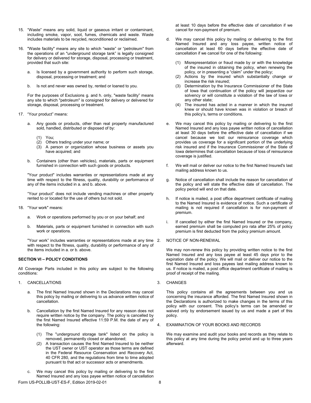- 15. "Waste" means any solid, liquid or gaseous irritant or contaminant, including smoke, vapor, soot, fumes, chemicals and waste. Waste includes materials to be recycled, reconditioned or reclaimed.
- 16. "Waste facility" means any site to which "waste" or "petroleum" from the operations of an "underground storage tank" is legally consigned for delivery or delivered for storage, disposal, processing or treatment, provided that such site:
	- a. Is licensed by a government authority to perform such storage, disposal, processing or treatment; and
	- b. Is not and never was owned by, rented or loaned to you.

For the purposes of Exclusions g. and h. only, "waste facility" means any site to which "petroleum" is consigned for delivery or delivered for storage, disposal, processing or treatment.

- 17. "Your product" means:
	- a. Any goods or products, other than real property manufactured sold, handled, distributed or disposed of by:
		- (1) You;
		- Others trading under your name; or
		- (3) A person or organization whose business or assets you have acquired; and
	- b. Containers (other than vehicles), materials, parts or equipment furnished in connection with such goods or products.

"Your product" includes warranties or representations made at any time with respect to the fitness, quality, durability or performance of any of the items included in a. and b. above.

"Your product" does not include vending machines or other property rented to or located for the use of others but not sold.

- 18. "Your work" means:
	- a. Work or operations performed by you or on your behalf; and
	- b. Materials, parts or equipment furnished in connection with such work or operations.

"Your work" includes warranties or representations made at any time with respect to the fitness, quality, durability or performance of any of the items included in a. or b. above.

### **SECTION VI – POLICY CONDITIONS**

All Coverage Parts included in this policy are subject to the following conditions:

- 1. CANCELLATIONS
	- a. The first Named Insured shown in the Declarations may cancel this policy by mailing or delivering to us advance written notice of cancellation.
	- b. Cancellation by the first Named Insured for any reason does not require written notice by the company. The policy is cancelled by the first Named Insured effective 11:59 P.M. the date of any of the following:
		- (1) The "underground storage tank" listed on the policy is removed, permanently closed or abandoned;
		- (2) A transaction causes the first Named Insured to be neither the UST owner or UST operator as those terms are defined in the Federal Resource Conservation and Recovery Act, 40 CFR 280, and the regulations from time to time adopted pursuant to that act or successor acts or amendments.
- Form US-POLLIB-UST-ES-F, Edition 2019-02-01 We may cancel this policy by mailing or delivering to the first Named Insured and any loss payee written notice of cancellation

at least 10 days before the effective date of cancellation if we cancel for non-payment of premium.

- d. We may cancel this policy by mailing or delivering to the first Named Insured and any loss payee, written notice of cancellation at least 60 days before the effective date of cancellation if we cancel for one of the following:
	- Misrepresentation or fraud made by or with the knowledge of the insured in obtaining the policy, when renewing the policy, or in presenting a "claim" under the policy;
	- (2) Actions by the insured which substantially change or increase the risk insured;
	- (3) Determination by the Insurance Commissioner of the State of Iowa that continuation of the policy will jeopardize our solvency or will constitute a violation of the law of Iowa or any other state;
	- (4) The insured has acted in a manner in which the insured knew or should have known was in violation or breach of this policy's, terms or conditions.
- e. We may cancel this policy by mailing or delivering to the first Named Insured and any loss payee written notice of cancellation at least 30 days before the effective date of cancellation if we cancel because we lost our reinsurance coverage which provides us coverage for a significant portion of the underlying risk insured and if the Insurance Commissioner of the State of Iowa determines that cancellation because of loss of reinsurance coverage is justified.
- f. We will mail or deliver our notice to the first Named Insured's last mailing address known to us.
- g. Notice of cancellation shall include the reason for cancellation of the policy and will state the effective date of cancellation. The policy period will end on that date.
- h. If notice is mailed, a post office department certificate of mailing to the Named Insured is evidence of notice. Such a certificate of mailing is not required if cancellation is for non-payment of premium.
- i. If cancelled by either the first Named Insured or the company, earned premium shall be computed pro rata after 25% of policy premium is first deducted from the policy premium amount.
- NOTICE OF NON-RENEWAL

We may non-renew this policy by providing written notice to the first Named Insured and any loss payee at least 45 days prior to the expiration date of the policy. We will mail or deliver our notice to the first Named Insured and loss payees last mailing address known to us. If notice is mailed, a post office department certificate of mailing is proof of receipt of the mailing.

3. CHANGES

This policy contains all the agreements between you and us concerning the insurance afforded. The first Named Insured shown in the Declarations is authorized to make changes in the terms of this policy with our consent. This policy's terms can be amended or waived only by endorsement issued by us and made a part of this policy.

4. EXAMINATION OF YOUR BOOKS AND RECORDS

We may examine and audit your books and records as they relate to this policy at any time during the policy period and up to three years afterward.